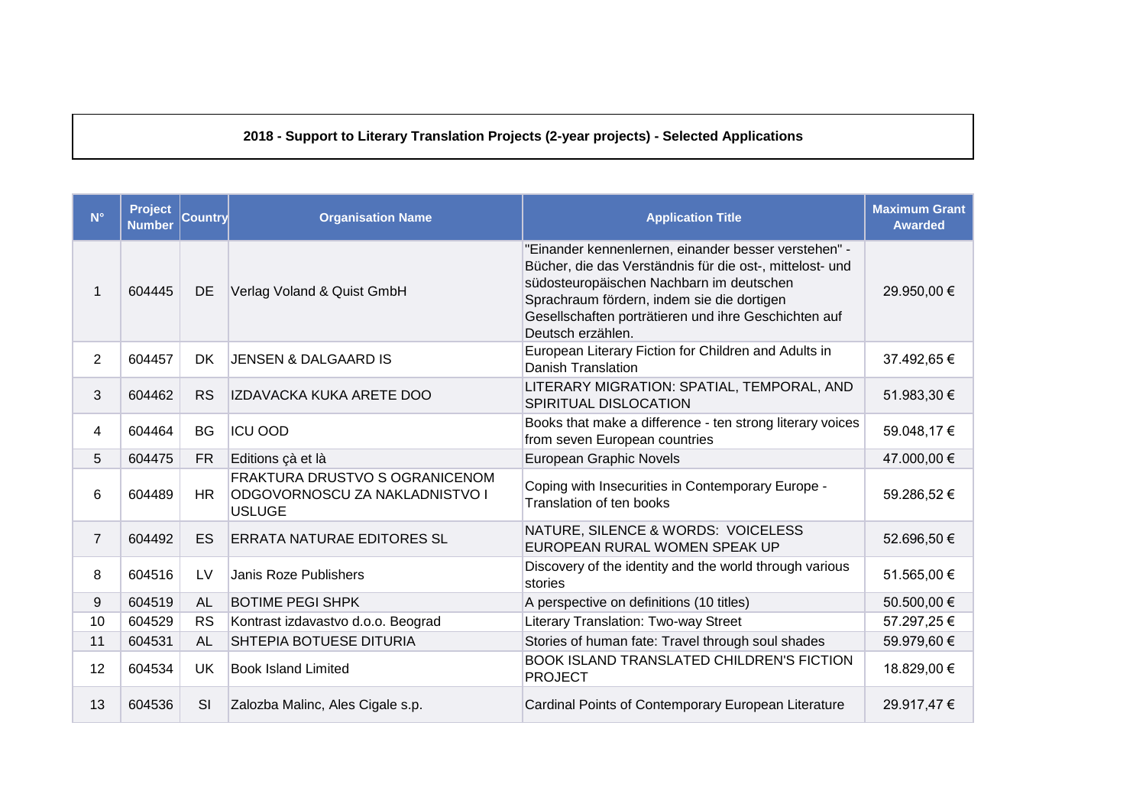## 2018 - Support to Literary Translation Projects (2-year projects) - Selected Applications

| $N^{\circ}$    | <b>Project</b><br><b>Number</b> | Country   | <b>Organisation Name</b>                                                          | <b>Application Title</b>                                                                                                                                                                                                                                                                | <b>Maximum Grant</b><br><b>Awarded</b> |
|----------------|---------------------------------|-----------|-----------------------------------------------------------------------------------|-----------------------------------------------------------------------------------------------------------------------------------------------------------------------------------------------------------------------------------------------------------------------------------------|----------------------------------------|
|                | 604445                          | <b>DE</b> | Verlag Voland & Quist GmbH                                                        | "Einander kennenlernen, einander besser verstehen" -<br>Bücher, die das Verständnis für die ost-, mittelost- und<br>südosteuropäischen Nachbarn im deutschen<br>Sprachraum fördern, indem sie die dortigen<br>Gesellschaften porträtieren und ihre Geschichten auf<br>Deutsch erzählen. | 29.950,00 €                            |
| $\overline{2}$ | 604457                          | <b>DK</b> | <b>JENSEN &amp; DALGAARD IS</b>                                                   | European Literary Fiction for Children and Adults in<br><b>Danish Translation</b>                                                                                                                                                                                                       | 37.492,65 €                            |
| 3              | 604462                          | <b>RS</b> | IZDAVACKA KUKA ARETE DOO                                                          | LITERARY MIGRATION: SPATIAL, TEMPORAL, AND<br>SPIRITUAL DISLOCATION                                                                                                                                                                                                                     | 51.983,30 €                            |
| 4              | 604464                          | <b>BG</b> | <b>ICU OOD</b>                                                                    | Books that make a difference - ten strong literary voices<br>from seven European countries                                                                                                                                                                                              | 59.048,17€                             |
| 5              | 604475                          | <b>FR</b> | Editions çà et là                                                                 | European Graphic Novels                                                                                                                                                                                                                                                                 | 47.000,00 €                            |
| 6              | 604489                          | <b>HR</b> | FRAKTURA DRUSTVO S OGRANICENOM<br>ODGOVORNOSCU ZA NAKLADNISTVO I<br><b>USLUGE</b> | Coping with Insecurities in Contemporary Europe -<br>Translation of ten books                                                                                                                                                                                                           | 59.286,52€                             |
| $\overline{7}$ | 604492                          | <b>ES</b> | <b>ERRATA NATURAE EDITORES SL</b>                                                 | NATURE, SILENCE & WORDS: VOICELESS<br>EUROPEAN RURAL WOMEN SPEAK UP                                                                                                                                                                                                                     | 52.696,50 €                            |
| 8              | 604516                          | LV        | <b>Janis Roze Publishers</b>                                                      | Discovery of the identity and the world through various<br>stories                                                                                                                                                                                                                      | 51.565,00 €                            |
| 9              | 604519                          | AL        | <b>BOTIME PEGI SHPK</b>                                                           | A perspective on definitions (10 titles)                                                                                                                                                                                                                                                | 50.500,00 €                            |
| 10             | 604529                          | <b>RS</b> | Kontrast izdavastvo d.o.o. Beograd                                                | Literary Translation: Two-way Street                                                                                                                                                                                                                                                    | 57.297,25€                             |
| 11             | 604531                          | <b>AL</b> | SHTEPIA BOTUESE DITURIA                                                           | Stories of human fate: Travel through soul shades                                                                                                                                                                                                                                       | 59.979,60 €                            |
| 12             | 604534                          | <b>UK</b> | <b>Book Island Limited</b>                                                        | <b>BOOK ISLAND TRANSLATED CHILDREN'S FICTION</b><br><b>PROJECT</b>                                                                                                                                                                                                                      | 18.829,00 €                            |
| 13             | 604536                          | SI        | Zalozba Malinc, Ales Cigale s.p.                                                  | Cardinal Points of Contemporary European Literature                                                                                                                                                                                                                                     | 29.917,47€                             |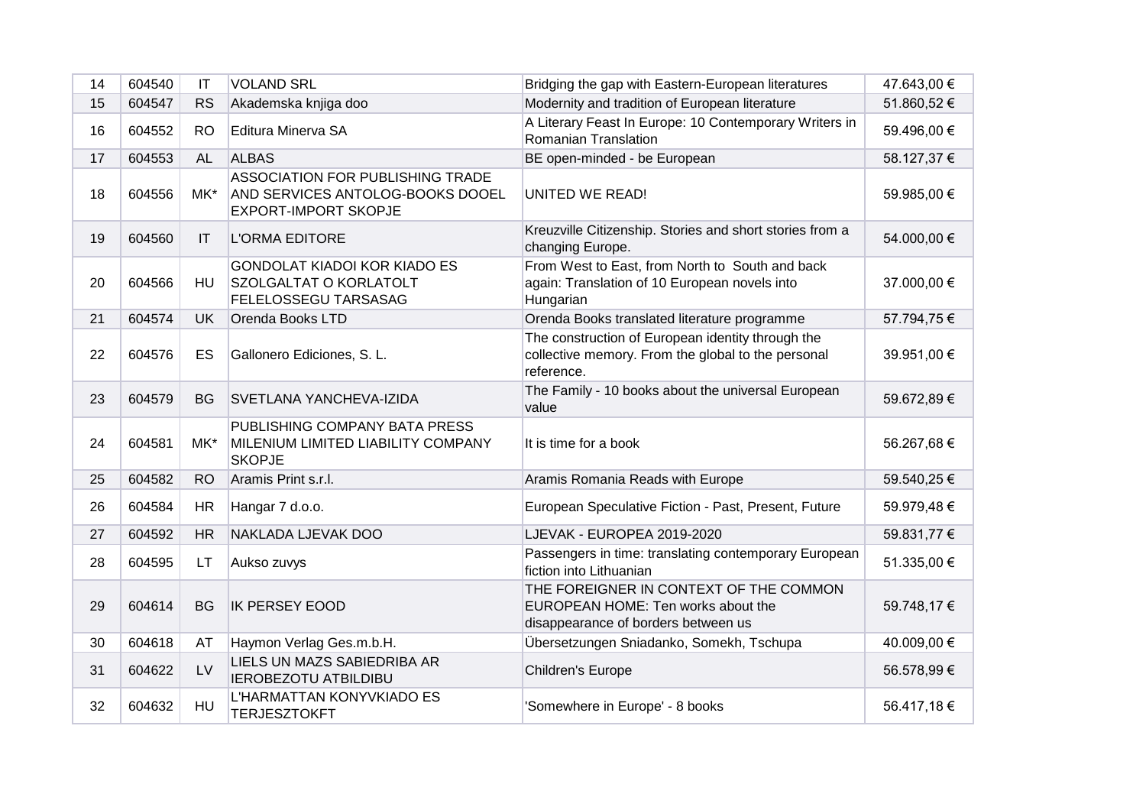| 14 | 604540 | $\mathsf{I}\mathsf{T}$ | <b>VOLAND SRL</b>                                                                                          | Bridging the gap with Eastern-European literatures                                                                    | 47.643,00 € |
|----|--------|------------------------|------------------------------------------------------------------------------------------------------------|-----------------------------------------------------------------------------------------------------------------------|-------------|
| 15 | 604547 | <b>RS</b>              | Akademska knjiga doo                                                                                       | Modernity and tradition of European literature                                                                        | 51.860,52 € |
| 16 | 604552 | R <sub>O</sub>         | Editura Minerva SA                                                                                         | A Literary Feast In Europe: 10 Contemporary Writers in<br>Romanian Translation                                        | 59.496,00 € |
| 17 | 604553 | <b>AL</b>              | <b>ALBAS</b>                                                                                               | BE open-minded - be European                                                                                          | 58.127,37 € |
| 18 | 604556 | MK*                    | <b>ASSOCIATION FOR PUBLISHING TRADE</b><br>AND SERVICES ANTOLOG-BOOKS DOOEL<br><b>EXPORT-IMPORT SKOPJE</b> | <b>UNITED WE READ!</b>                                                                                                | 59.985,00 € |
| 19 | 604560 | IT                     | <b>L'ORMA EDITORE</b>                                                                                      | Kreuzville Citizenship. Stories and short stories from a<br>changing Europe.                                          | 54.000,00 € |
| 20 | 604566 | HU                     | <b>GONDOLAT KIADOI KOR KIADO ES</b><br>SZOLGALTAT O KORLATOLT<br><b>FELELOSSEGU TARSASAG</b>               | From West to East, from North to South and back<br>again: Translation of 10 European novels into<br>Hungarian         | 37.000,00 € |
| 21 | 604574 | <b>UK</b>              | Orenda Books LTD                                                                                           | Orenda Books translated literature programme                                                                          | 57.794,75 € |
| 22 | 604576 | ES                     | Gallonero Ediciones, S. L.                                                                                 | The construction of European identity through the<br>collective memory. From the global to the personal<br>reference. | 39.951,00 € |
| 23 | 604579 | <b>BG</b>              | <b>SVETLANA YANCHEVA-IZIDA</b>                                                                             | The Family - 10 books about the universal European<br>value                                                           | 59.672,89 € |
| 24 | 604581 | MK*                    | PUBLISHING COMPANY BATA PRESS<br>MILENIUM LIMITED LIABILITY COMPANY<br><b>SKOPJE</b>                       | It is time for a book                                                                                                 | 56.267,68€  |
| 25 | 604582 | <b>RO</b>              | Aramis Print s.r.l.                                                                                        | Aramis Romania Reads with Europe                                                                                      | 59.540,25 € |
| 26 | 604584 | <b>HR</b>              | Hangar 7 d.o.o.                                                                                            | European Speculative Fiction - Past, Present, Future                                                                  | 59.979,48 € |
| 27 | 604592 | <b>HR</b>              | NAKLADA LJEVAK DOO                                                                                         | LJEVAK - EUROPEA 2019-2020                                                                                            | 59.831,77 € |
| 28 | 604595 | LT.                    | Aukso zuvys                                                                                                | Passengers in time: translating contemporary European<br>fiction into Lithuanian                                      | 51.335,00 € |
| 29 | 604614 | <b>BG</b>              | <b>IK PERSEY EOOD</b>                                                                                      | THE FOREIGNER IN CONTEXT OF THE COMMON<br>EUROPEAN HOME: Ten works about the<br>disappearance of borders between us   | 59.748,17 € |
| 30 | 604618 | AT                     | Haymon Verlag Ges.m.b.H.                                                                                   | Übersetzungen Sniadanko, Somekh, Tschupa                                                                              | 40.009,00 € |
| 31 | 604622 | LV                     | LIELS UN MAZS SABIEDRIBA AR<br><b>IEROBEZOTU ATBILDIBU</b>                                                 | Children's Europe                                                                                                     | 56.578,99 € |
| 32 | 604632 | HU                     | L'HARMATTAN KONYVKIADO ES<br><b>TERJESZTOKFT</b>                                                           | 'Somewhere in Europe' - 8 books                                                                                       | 56.417,18 € |